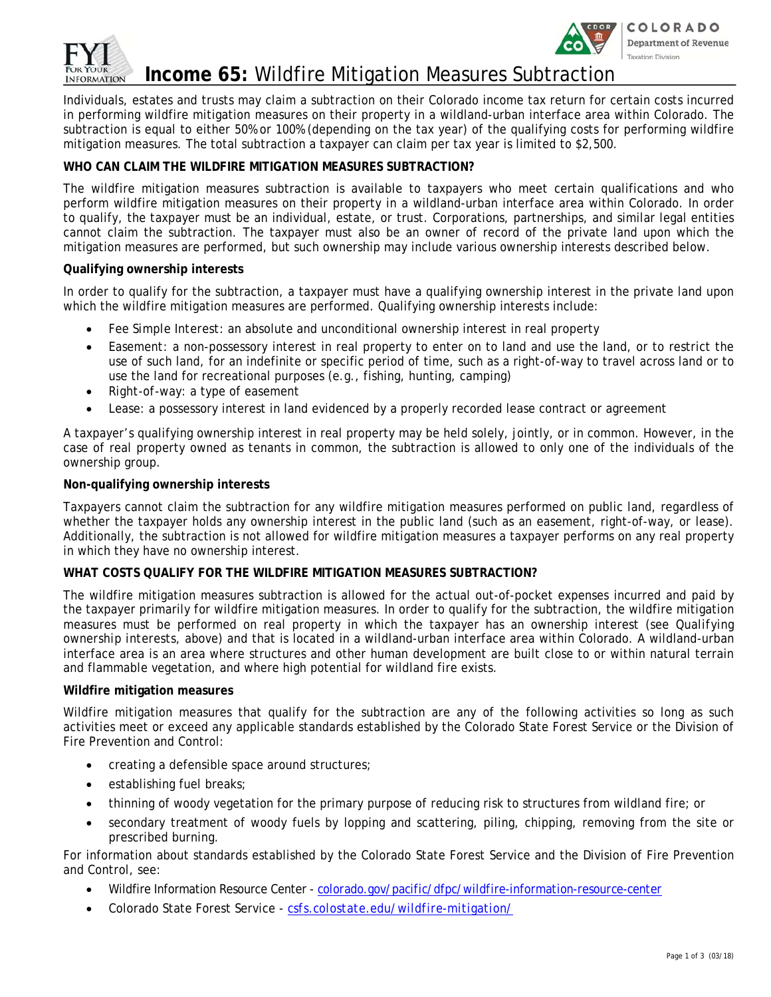



# **Income 65:** Wildfire Mitigation Measures Subtraction

Individuals, estates and trusts may claim a subtraction on their Colorado income tax return for certain costs incurred in performing wildfire mitigation measures on their property in a wildland-urban interface area within Colorado. The subtraction is equal to either 50% or 100% (depending on the tax year) of the qualifying costs for performing wildfire mitigation measures. The total subtraction a taxpayer can claim per tax year is limited to \$2,500.

## **WHO CAN CLAIM THE WILDFIRE MITIGATION MEASURES SUBTRACTION?**

The wildfire mitigation measures subtraction is available to taxpayers who meet certain qualifications and who perform wildfire mitigation measures on their property in a wildland-urban interface area within Colorado. In order to qualify, the taxpayer must be an individual, estate, or trust. Corporations, partnerships, and similar legal entities cannot claim the subtraction. The taxpayer must also be an owner of record of the private land upon which the mitigation measures are performed, but such ownership may include various ownership interests described below.

## **Qualifying ownership interests**

In order to qualify for the subtraction, a taxpayer must have a qualifying ownership interest in the private land upon which the wildfire mitigation measures are performed. Qualifying ownership interests include:

- *Fee Simple Interest:* an absolute and unconditional ownership interest in real property
- *Easement:* a non-possessory interest in real property to enter on to land and use the land, or to restrict the use of such land, for an indefinite or specific period of time, such as a right-of-way to travel across land or to use the land for recreational purposes (e.g., fishing, hunting, camping)
- *Right-of-way:* a type of easement
- *Lease:* a possessory interest in land evidenced by a properly recorded lease contract or agreement

A taxpayer's qualifying ownership interest in real property may be held solely, jointly, or in common. However, in the case of real property owned as tenants in common, the subtraction is allowed to only one of the individuals of the ownership group.

### **Non-qualifying ownership interests**

Taxpayers cannot claim the subtraction for any wildfire mitigation measures performed on public land, regardless of whether the taxpayer holds any ownership interest in the public land (such as an easement, right-of-way, or lease). Additionally, the subtraction is not allowed for wildfire mitigation measures a taxpayer performs on any real property in which they have no ownership interest.

### **WHAT COSTS QUALIFY FOR THE WILDFIRE MITIGATION MEASURES SUBTRACTION?**

The wildfire mitigation measures subtraction is allowed for the actual out-of-pocket expenses incurred and paid by the taxpayer primarily for wildfire mitigation measures. In order to qualify for the subtraction, the wildfire mitigation measures must be performed on real property in which the taxpayer has an ownership interest (see *Qualifying ownership interests*, above) and that is located in a wildland-urban interface area within Colorado. A wildland-urban interface area is an area where structures and other human development are built close to or within natural terrain and flammable vegetation, and where high potential for wildland fire exists.

### **Wildfire mitigation measures**

Wildfire mitigation measures that qualify for the subtraction are any of the following activities so long as such activities meet or exceed any applicable standards established by the Colorado State Forest Service or the Division of Fire Prevention and Control:

- creating a defensible space around structures;
- establishing fuel breaks;
- thinning of woody vegetation for the primary purpose of reducing risk to structures from wildland fire; or
- secondary treatment of woody fuels by lopping and scattering, piling, chipping, removing from the site or prescribed burning.

For information about standards established by the Colorado State Forest Service and the Division of Fire Prevention and Control, see:

- Wildfire Information Resource Center *colorado.gov/pacific/dfpc/wildfire-information-resource-center*
- Colorado State Forest Service *csfs.colostate.edu/wildfire-mitigation/*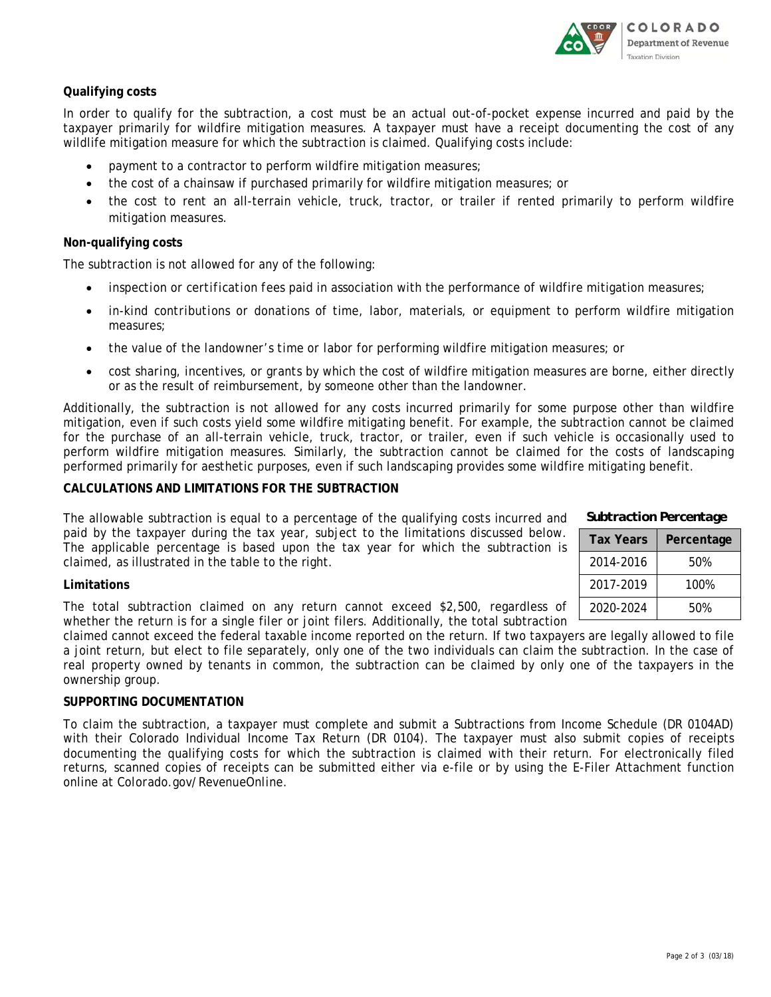

## **Qualifying costs**

In order to qualify for the subtraction, a cost must be an actual out-of-pocket expense incurred and paid by the taxpayer primarily for wildfire mitigation measures. A taxpayer must have a receipt documenting the cost of any wildlife mitigation measure for which the subtraction is claimed. Qualifying costs include:

- payment to a contractor to perform wildfire mitigation measures;
- the cost of a chainsaw if purchased primarily for wildfire mitigation measures; or
- the cost to rent an all-terrain vehicle, truck, tractor, or trailer if rented primarily to perform wildfire mitigation measures.

### **Non-qualifying costs**

The subtraction is not allowed for any of the following:

- *inspection or certification fees* paid in association with the performance of wildfire mitigation measures;
- *in-kind contributions or donations* of time, labor, materials, or equipment to perform wildfire mitigation measures;
- *the value of the landowner's time or labor* for performing wildfire mitigation measures; or
- *cost sharing, incentives, or grants* by which the cost of wildfire mitigation measures are borne, either directly or as the result of reimbursement, by someone other than the landowner.

Additionally, the subtraction is not allowed for any costs incurred primarily for some purpose other than wildfire mitigation, even if such costs yield some wildfire mitigating benefit. For example, the subtraction cannot be claimed for the purchase of an all-terrain vehicle, truck, tractor, or trailer, even if such vehicle is occasionally used to perform wildfire mitigation measures. Similarly, the subtraction cannot be claimed for the costs of landscaping performed primarily for aesthetic purposes, even if such landscaping provides some wildfire mitigating benefit.

#### **CALCULATIONS AND LIMITATIONS FOR THE SUBTRACTION**

The allowable subtraction is equal to a percentage of the qualifying costs incurred and paid by the taxpayer during the tax year, subject to the limitations discussed below. The applicable percentage is based upon the tax year for which the subtraction is claimed, as illustrated in the table to the right.

#### **Limitations**

The total subtraction claimed on any return cannot exceed \$2,500, regardless of whether the return is for a single filer or joint filers. Additionally, the total subtraction

claimed cannot exceed the federal taxable income reported on the return. If two taxpayers are legally allowed to file a joint return, but elect to file separately, only one of the two individuals can claim the subtraction. In the case of real property owned by tenants in common, the subtraction can be claimed by only one of the taxpayers in the ownership group.

### **SUPPORTING DOCUMENTATION**

To claim the subtraction, a taxpayer must complete and submit a Subtractions from Income Schedule (DR 0104AD) with their Colorado Individual Income Tax Return (DR 0104). The taxpayer must also submit copies of receipts documenting the qualifying costs for which the subtraction is claimed with their return. For electronically filed returns, scanned copies of receipts can be submitted either via e-file or by using the E-Filer Attachment function online at *Colorado.gov/RevenueOnline*.

| <b>Tax Years</b> | Percentage |
|------------------|------------|
| 2014-2016        | 50%        |

2017-2019 100% 2020-2024 50%

*Subtraction Percentage*